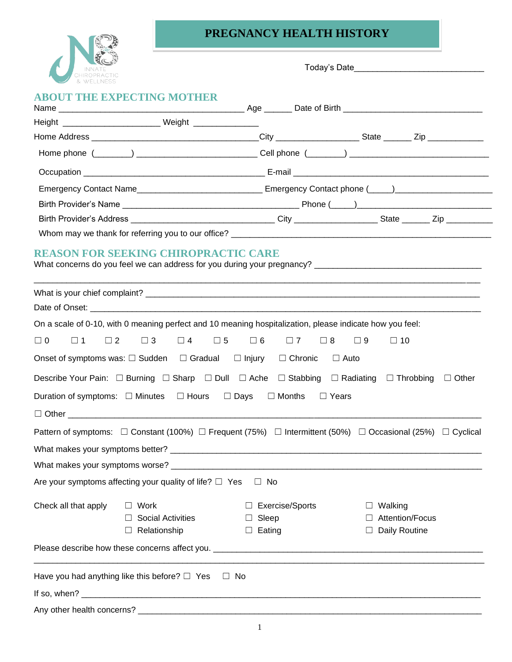

## **PREGNANCY HEALTH HISTORY**

|                      | <b>ABOUT THE EXPECTING MOTHER</b>                                                            |                                                                                                          |                                                                                                                                     |  |
|----------------------|----------------------------------------------------------------------------------------------|----------------------------------------------------------------------------------------------------------|-------------------------------------------------------------------------------------------------------------------------------------|--|
|                      | Height _________________________________ Weight ____________________                         |                                                                                                          |                                                                                                                                     |  |
|                      |                                                                                              |                                                                                                          |                                                                                                                                     |  |
|                      |                                                                                              |                                                                                                          |                                                                                                                                     |  |
|                      |                                                                                              |                                                                                                          |                                                                                                                                     |  |
|                      |                                                                                              |                                                                                                          | Emergency Contact Name__________________________________ Emergency Contact phone (_____)______________________                      |  |
|                      |                                                                                              |                                                                                                          |                                                                                                                                     |  |
|                      |                                                                                              |                                                                                                          |                                                                                                                                     |  |
|                      |                                                                                              |                                                                                                          |                                                                                                                                     |  |
|                      | <b>REASON FOR SEEKING CHIROPRACTIC CARE</b>                                                  |                                                                                                          |                                                                                                                                     |  |
|                      |                                                                                              |                                                                                                          |                                                                                                                                     |  |
|                      |                                                                                              |                                                                                                          |                                                                                                                                     |  |
|                      |                                                                                              | On a scale of 0-10, with 0 meaning perfect and 10 meaning hospitalization, please indicate how you feel: |                                                                                                                                     |  |
| $\Box$ 0<br>$\Box$ 1 | $\Box$ 3<br>$\Box$ 2                                                                         | $\Box 4$ $\Box 5$ $\Box 6$ $\Box 7$<br>$\Box$ 8                                                          | $\Box$ 9<br>$\Box$ 10                                                                                                               |  |
|                      | Onset of symptoms was: $\square$ Sudden $\square$ Gradual $\square$ Injury $\square$ Chronic |                                                                                                          | $\Box$ Auto                                                                                                                         |  |
|                      |                                                                                              |                                                                                                          | Describe Your Pain: □ Burning □ Sharp □ Dull □ Ache □ Stabbing □ Radiating □ Throbbing □ Other                                      |  |
|                      | Duration of symptoms: $\Box$ Minutes $\Box$ Hours $\Box$ Days                                | $\Box$ Months $\Box$ Years                                                                               |                                                                                                                                     |  |
|                      |                                                                                              |                                                                                                          |                                                                                                                                     |  |
|                      |                                                                                              |                                                                                                          | Pattern of symptoms: $\Box$ Constant (100%) $\Box$ Frequent (75%) $\Box$ Intermittent (50%) $\Box$ Occasional (25%) $\Box$ Cyclical |  |
|                      |                                                                                              |                                                                                                          |                                                                                                                                     |  |
|                      |                                                                                              |                                                                                                          |                                                                                                                                     |  |
|                      | Are your symptoms affecting your quality of life? $\Box$ Yes                                 | $\Box$ No                                                                                                |                                                                                                                                     |  |
| Check all that apply | $\Box$ Work                                                                                  | $\Box$ Exercise/Sports                                                                                   | Walking<br>ш                                                                                                                        |  |
|                      | <b>Social Activities</b>                                                                     | $\Box$ Sleep                                                                                             | Attention/Focus                                                                                                                     |  |
|                      | Relationship<br>$\Box$                                                                       | $\Box$ Eating                                                                                            | Daily Routine                                                                                                                       |  |
|                      |                                                                                              |                                                                                                          |                                                                                                                                     |  |
|                      | Have you had anything like this before? $\Box$ Yes                                           | $\Box$ No                                                                                                |                                                                                                                                     |  |
| If so, when?         |                                                                                              |                                                                                                          |                                                                                                                                     |  |

Any other health concerns? \_\_\_\_\_\_\_\_\_\_\_\_\_\_\_\_\_\_\_\_\_\_\_\_\_\_\_\_\_\_\_\_\_\_\_\_\_\_\_\_\_\_\_\_\_\_\_\_\_\_\_\_\_\_\_\_\_\_\_\_\_\_\_\_\_\_\_\_\_\_\_\_\_\_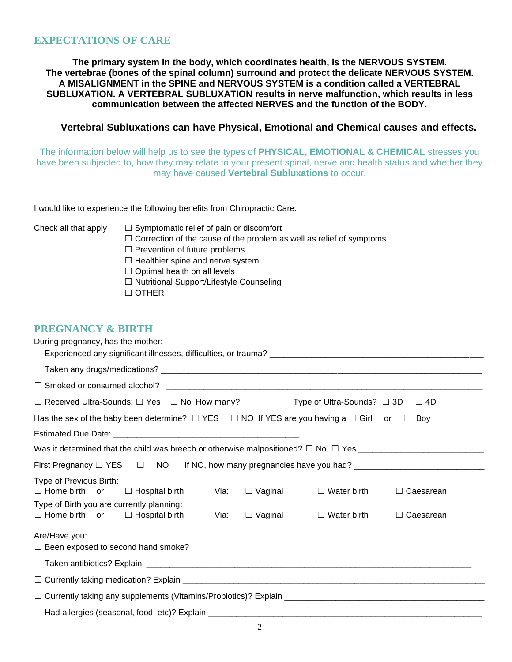#### **EXPECTATIONS OF CARE**

**The primary system in the body, which coordinates health, is the NERVOUS SYSTEM. The vertebrae (bones of the spinal column) surround and protect the delicate NERVOUS SYSTEM. A MISALIGNMENT in the SPINE and NERVOUS SYSTEM is a condition called a VERTEBRAL SUBLUXATION. A VERTEBRAL SUBLUXATION results in nerve malfunction, which results in less communication between the affected NERVES and the function of the BODY.**

#### **Vertebral Subluxations can have Physical, Emotional and Chemical causes and effects.**

The information below will help us to see the types of **PHYSICAL, EMOTIONAL & CHEMICAL** stresses you have been subjected to, how they may relate to your present spinal, nerve and health status and whether they may have caused **Vertebral Subluxations** to occur.

I would like to experience the following benefits from Chiropractic Care:

- $\Box$  Symptomatic relief of pain or discomfort
	- $\Box$  Correction of the cause of the problem as well as relief of symptoms
	- □ Prevention of future problems
	- $\Box$  Healthier spine and nerve system
	- $\Box$  Optimal health on all levels
	- ☐ Nutritional Support/Lifestyle Counseling
	- $\Box$  Other

#### **PREGNANCY & BIRTH**

| During pregnancy, has the mother:                                                                                 |      |                |                    |                  |
|-------------------------------------------------------------------------------------------------------------------|------|----------------|--------------------|------------------|
|                                                                                                                   |      |                |                    |                  |
|                                                                                                                   |      |                |                    |                  |
| $\Box$ Received Ultra-Sounds: $\Box$ Yes $\quad \Box$ No How many? ___________ Type of Ultra-Sounds? $\Box$ 3D    |      |                |                    | $\square$ 4D     |
| Has the sex of the baby been determine? $\Box$ YES $\Box$ NO If YES are you having a $\Box$ Girl or $\Box$<br>Boy |      |                |                    |                  |
|                                                                                                                   |      |                |                    |                  |
|                                                                                                                   |      |                |                    |                  |
| First Pregnancy □ YES □ NO If NO, how many pregnancies have you had? ______________________________               |      |                |                    |                  |
| Type of Previous Birth:<br>$\Box$ Home birth or $\Box$ Hospital birth                                             | Via: | $\Box$ Vaginal | $\Box$ Water birth | $\Box$ Caesarean |
| Type of Birth you are currently planning:<br>$\Box$ Home birth or $\Box$ Hospital birth                           | Via: | $\Box$ Vaginal | $\Box$ Water birth | $\Box$ Caesarean |
| Are/Have you:                                                                                                     |      |                |                    |                  |
| $\Box$ Been exposed to second hand smoke?                                                                         |      |                |                    |                  |
|                                                                                                                   |      |                |                    |                  |
|                                                                                                                   |      |                |                    |                  |
|                                                                                                                   |      |                |                    |                  |
|                                                                                                                   |      |                |                    |                  |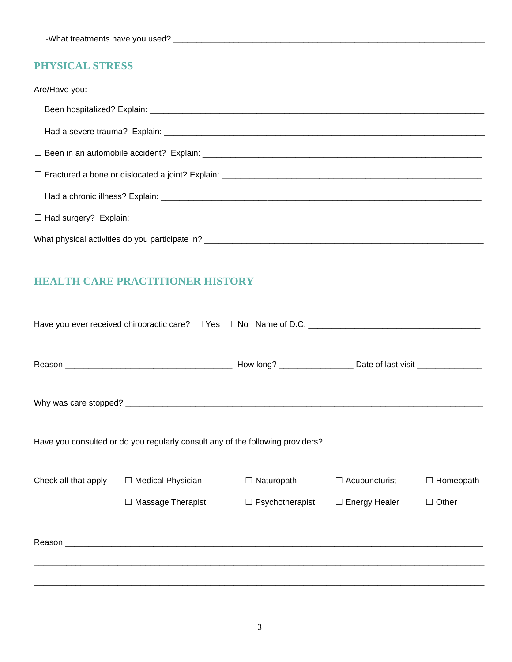## **PHYSICAL STRESS**

| Are/Have you: |
|---------------|
|               |
|               |
|               |
|               |
|               |
|               |
|               |

## **HEALTH CARE PRACTITIONER HISTORY**

|                      | Have you consulted or do you regularly consult any of the following providers?                                                                                                                                                       |                        |                      |                  |
|----------------------|--------------------------------------------------------------------------------------------------------------------------------------------------------------------------------------------------------------------------------------|------------------------|----------------------|------------------|
| Check all that apply | $\Box$ Medical Physician                                                                                                                                                                                                             | $\Box$ Naturopath      | $\Box$ Acupuncturist | $\Box$ Homeopath |
|                      | $\Box$ Massage Therapist                                                                                                                                                                                                             | $\Box$ Psychotherapist | $\Box$ Energy Healer | Other<br>$\Box$  |
|                      | Reason <b>contract the contract of the contract of the contract of the contract of the contract of the contract of the contract of the contract of the contract of the contract of the contract of the contract of the contract </b> |                        |                      |                  |
|                      |                                                                                                                                                                                                                                      |                        |                      |                  |
|                      |                                                                                                                                                                                                                                      |                        |                      |                  |